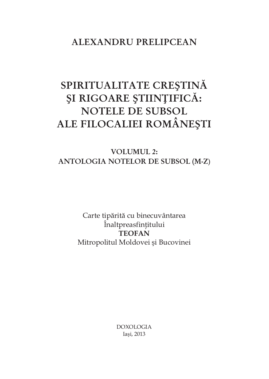## **ALEXANDRU PRELIPCEAN**

# **SPIRITUALITATE CRESTINĂ SI RIGOARE STIINTIFICĂ: NOTELE DE SUBSOL ALE FILOCALIEI ROMÂNESTI**

### **VOLUMUL 2: ANTOLOGIA NOTELOR DE SUBSOL (M-Z)**

Carte tipărită cu binecuvântarea Înaltpreasfințitului **TEOFAN**  Mitropolitul Moldovei și Bucovinei

> DOXOLOGIA Iasi, 2013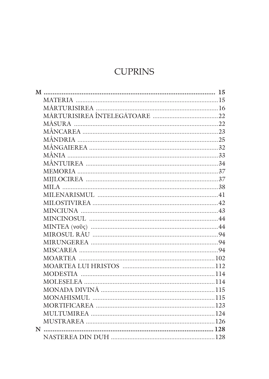# **CUPRINS**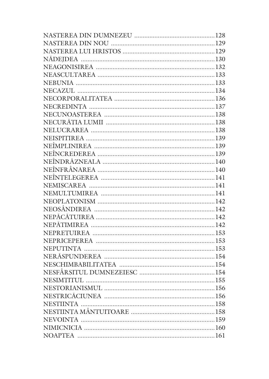| NESIMTITUL. |  |
|-------------|--|
|             |  |
|             |  |
|             |  |
|             |  |
|             |  |
|             |  |
|             |  |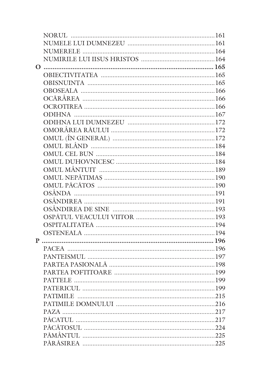| <b>PATTELE</b> |  |
|----------------|--|
|                |  |
|                |  |
|                |  |
|                |  |
|                |  |
|                |  |
|                |  |
|                |  |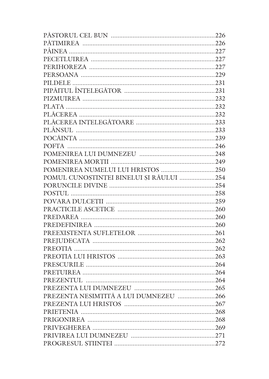| POMUL CUNOȘTINȚEI BINELUI ȘI RĂULUI 254 |  |
|-----------------------------------------|--|
|                                         |  |
|                                         |  |
|                                         |  |
|                                         |  |
|                                         |  |
|                                         |  |
|                                         |  |
|                                         |  |
|                                         |  |
|                                         |  |
|                                         |  |
|                                         |  |
|                                         |  |
|                                         |  |
| PREZENȚA NESIMȚITĂ A LUI DUMNEZEU 266   |  |
|                                         |  |
|                                         |  |
|                                         |  |
|                                         |  |
|                                         |  |
|                                         |  |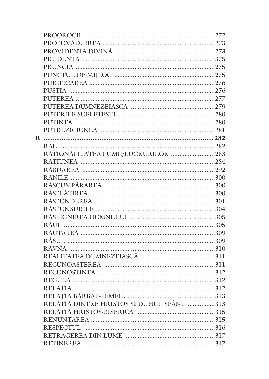| RATIONALITATEA LUMII/LUCRURILOR 283       |  |
|-------------------------------------------|--|
|                                           |  |
|                                           |  |
|                                           |  |
|                                           |  |
|                                           |  |
|                                           |  |
|                                           |  |
|                                           |  |
|                                           |  |
|                                           |  |
|                                           |  |
|                                           |  |
|                                           |  |
|                                           |  |
|                                           |  |
|                                           |  |
|                                           |  |
|                                           |  |
| RELAȚIA DINTRE HRISTOS ȘI DUHUL SFÂNT 313 |  |
|                                           |  |
|                                           |  |
|                                           |  |
|                                           |  |
|                                           |  |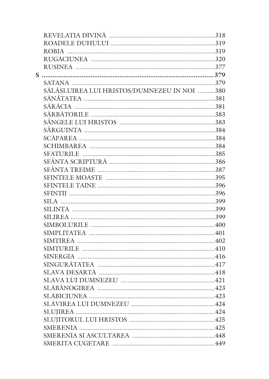| S |                                             |  |
|---|---------------------------------------------|--|
|   |                                             |  |
|   | SĂLĂȘLUIREA LUI HRISTOS/DUMNEZEU IN NOI 380 |  |
|   |                                             |  |
|   |                                             |  |
|   |                                             |  |
|   |                                             |  |
|   |                                             |  |
|   |                                             |  |
|   |                                             |  |
|   |                                             |  |
|   |                                             |  |
|   |                                             |  |
|   |                                             |  |
|   |                                             |  |
|   |                                             |  |
|   |                                             |  |
|   |                                             |  |
|   |                                             |  |
|   |                                             |  |
|   |                                             |  |
|   |                                             |  |
|   |                                             |  |
|   |                                             |  |
|   |                                             |  |
|   |                                             |  |
|   | SLAVA LUI DUMNEZEU                          |  |
|   |                                             |  |
|   |                                             |  |
|   |                                             |  |
|   |                                             |  |
|   |                                             |  |
|   | SMERENIA                                    |  |
|   |                                             |  |
|   |                                             |  |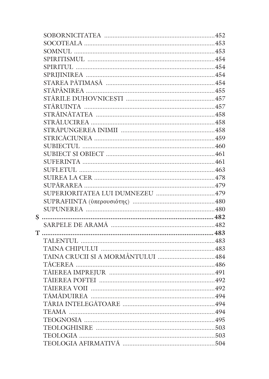| STÅRUINTA ……………………………………………………………………457 |  |
|-----------------------------------------|--|
|                                         |  |
|                                         |  |
|                                         |  |
|                                         |  |
|                                         |  |
|                                         |  |
|                                         |  |
|                                         |  |
|                                         |  |
|                                         |  |
| SUPERIORITATEA LUI DUMNEZEU 479         |  |
|                                         |  |
|                                         |  |
|                                         |  |
|                                         |  |
|                                         |  |
|                                         |  |
|                                         |  |
|                                         |  |
|                                         |  |
|                                         |  |
|                                         |  |
|                                         |  |
|                                         |  |
|                                         |  |
|                                         |  |
|                                         |  |
|                                         |  |
|                                         |  |
|                                         |  |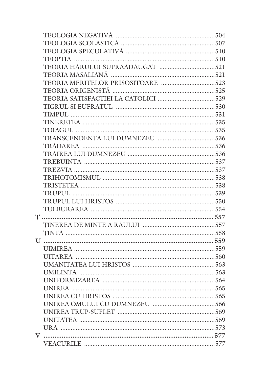| <b>UNIFORMIZAREA</b> | 564 |
|----------------------|-----|
|                      |     |
|                      |     |
|                      |     |
|                      |     |
|                      |     |
|                      |     |
|                      |     |
|                      |     |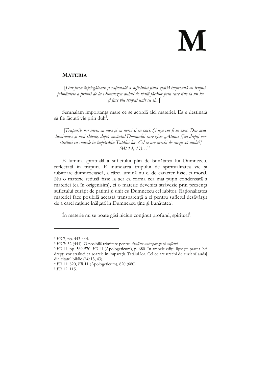# M

#### **MATERIA**

[Dar firea înțelegătoare și rațională a sufletului fiind zidită împreună cu trupul pământesc a primit de la Dumnezeu duhul de viață făcător prin care ține la un loc și face viu trupul unit cu el...]<sup>1</sup>

Semnalăm importanța mare ce se acordă aici materiei. Ea e destinată să fie făcută vie prin duh<sup>2</sup>.

[Trupurile vor învia cu oase și cu nervi și cu pori. Și așa vor fi în veac. Dar mai luminoase și mai slăvite, după cuvântul Domnului care zice: "Atunci [[cei drepți vor străluci ca soarele în împărăția Tatălui lor. Cel ce are urechi de auzit să audă]]  $(Mt\,13,\,43)...]$ <sup>3</sup>

E lumina spirituală a sufletului plin de bunătatea lui Dumnezeu, reflectată în trupuri. E inundarea trupului de spiritualitatea vie și iubitoare dumnezeiască, a cărei lumină nu e, de caracter fizic, ci moral. Nu o materie redusă fizic la aer ca forma cea mai puțin condensată a materiei (ca în origenisim), ci o materie devenita străvezie prin prezența sufletului curățit de patimi și unit cu Dumnezeu cel iubitor. Raționalitatea materiei face posibilă această transparență a ei pentru sufletul desăvârșit de a cărei rațiune înălțată în Dumnezeu ține și bunătatea<sup>4</sup>.

În materie nu se poate găsi niciun conținut profund, spiritual<sup>5</sup>.

<sup>&</sup>lt;sup>1</sup> FR 7, pp. 443-444.

<sup>&</sup>lt;sup>2</sup> FR 7: 32 (444). O posibilă trimitere pentru dualism antropologic și sufletul.

<sup>&</sup>lt;sup>3</sup> FR 11, pp. 569-570; FR 11 (Apologeticum), p. 680. In ambele ediții lipsește partea [cei drepți vor străluci ca soarele în împărăția Tatălui lor. Cel ce are urechi de auzit să audă din citatul biblic  $(Mt 13, 43)$ .

<sup>&</sup>lt;sup>4</sup> FR 11: 820, FR 11 (Apologeticum), 820 (680).

<sup>&</sup>lt;sup>5</sup> FR 12: 115.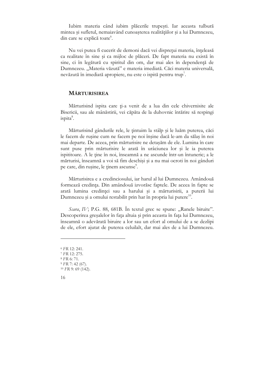Iubim materia când iubim plăcerile trupești. Iar aceasta tulbură mintea și sufletul, nemaiavând cunoașterea realitățiilor și a lui Dumnezeu, din care se explică toate<sup>°</sup>.

Nu vei putea fi cucerit de demoni dacă vei disprețui materia, înțeleasă ca realitate în sine și ca mijloc de plăceri. De fapt materia nu există în sine, ci în legătură cu spiritul din om, dar mai ales în dependență de Dumnezeu. "Materia văzută" e materia imediată. Căci materia universală, nevăzută în imediată apropiere, nu este o ispită pentru trup.

#### **MÄRTURISIREA**

Mărturisind ispita care ți-a venit de a lua din cele chivernisite ale Bisericii, sau ale mânăstirii, vei căpăta de la duhovnic întărire să respingi ispita<sup>8</sup>.

Mărturisind gândurile rele, le țintuim la stâlp și le luăm puterea, căci le facem de rusine cum ne facem pe noi înșine dacă le-am da sălaș în noi mai departe. De aceea, prin mărturisire ne detașăm de ele. Lumina în care sunt puse prin mărturisire le arată în urâciunea lor și le ia puterea ispititoare. A le tine în noi, înseamnă a ne ascunde într-un întuneric; a le mărturisi, înseamnă a voi să fim deschiși și a nu mai ocroti în noi gânduri pe care, din rusine, le tinem ascunse<sup>9</sup>.

Mărturisirea e a credinciosului, iar harul al lui Dumnezeu. Amândouă formează credința. Din amândouă izvorăsc faptele. De aceea în fapte se arată lumina credinței sau a harului și a mărturisirii, a puterii lui Dumnezeu și a omului restabilit prin har în propria lui putere<sup>10</sup>.

Scara, IV; P.G. 88, 681B. În textul grec se spune: "Ranele biruite". Descoperirea greșalelor în fața altuia și prin aceasta în fața lui Dumnezeu, înseamnă o adevărată biruire a lor sau un efort al omului de a se dezlipi de ele, efort ajutat de puterea celuilalt, dar mai ales de a lui Dumnezeu.

<sup>&</sup>lt;sup>6</sup> FR 12: 241.

<sup>&</sup>lt;sup>7</sup> FR 12: 275.

<sup>&</sup>lt;sup>8</sup> FR 6: 71.

 $9$  FR 7: 42 (67).

<sup>&</sup>lt;sup>10</sup> FR 9: 69 (142).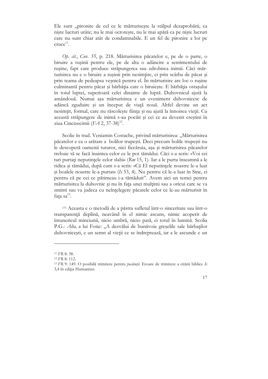Ele sunt "pironite de cel ce le mărturisește la stâlpul dezaprobării, ca niște lucruri urâte; nu le mai ocrotește, nu le mai apără ca pe niște lucruri care nu sunt chiar atât de condamnabile. E un fel de pironire a lor pe  $cruce<sup>11</sup>$ .

Op. cit., Cuv. 55, p. 218. Mărturisirea păcatelor e, pe de o parte, o biruire a rușinii pentru ele, pe de alta o adâncire a sentimentului de rușine, fapt care produce străpungerea sau zdrobirea inimii. Căci mărturisirea nu e o biruire a rușinii prin nesimțire, ci prin scârba de păcat și prin teama de pedeapsa veșnică pentru el. În mărturisire are loc o rușine culminantă pentru păcat și bărbăția care o biruiește. E bărbăția ostașului în toiul luptei, superioară celei dinainte de luptă. Duhovnicul ajută la amândouă. Numai așa mărturisirea e un eveniment duhovnicesc de adâncă zguduire și un început de viață nouă. Altfel devine un act nesimțit, formal, care nu răscolește ființa și nu ajută la înnoirea vieții. Cu această străpungere de inimă s-au pocăit și cei ce au devenit creștini în ziua Cincizecimii  $(FA 2, 37-38)^{12}$ .

Scolie în trad. Veniamin Costache, privind mărturisirea: "Mărturisirea păcatelor e ca o arătare a bolilor trupești. Deci precum bolile trupești nu le descoperă oamenii tuturor, nici fiecăruia, așa și mărturisirea păcatelor trebuie să se facă înaintea celor ce le pot tămădui. Căci s-a scris: «Voi cei tari purtați neputințele celor slabi» ( $Rm$  15, 1). Iar a le purta înseamnă a le ridica și tămădui, după cum s-a scris: «Că El neputințele noastre le-a luat și boalele noastre le-a purtat» (Is 53, 4). Nu pentru că le-a luat în Sine, ci pentru că pe cei ce pătimeau i-a tămăduit". Avem aici un temei pentru mărturisirea la duhovnic și nu în fața unei mulțimi sau a oricui care se va sminti sau va judeca cu neînțelegere păcatele celor ce le-au mărturisit în fața sa<sup>13</sup>.

175 Aceasta e o metodă de a păstra sufletul într-o sinceritate sau într-o transparență deplină, neavând în el nimic ascuns, nimic acoperit de întunericul minciunii, nicio umbră, nicio pată, ci totul în lumină. Scolia P.G.: Alta, a lui Fotie: "A dezvălui de bunăvoie greșelile sale bărbaților duhovnicești, e un semn al vieții ce se îndreptează, iar a le ascunde e un

<sup>&</sup>lt;sup>11</sup> FR 8: 38.

<sup>&</sup>lt;sup>12</sup> FR 8: 112.

<sup>&</sup>lt;sup>13</sup> FR 9: 149. O posibilă trimitere pentru *pocăință*. Eroare de trimitere a citării biblice Is 3,4 în ediția Humanitas.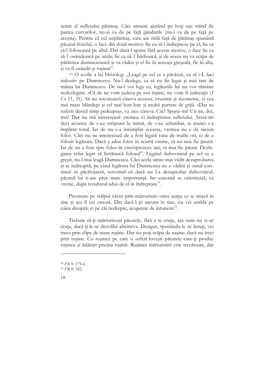semn al sufletului pătimas. Căci nimeni ajutând pe hoti sau stând de partea curvarilor, nu-și va da pe față gândurile (nu-i va da pe față pe aceștia). Pentru că cel nepătimaș, care are milă față de pătimaș spunând păcatul fratelui, o face din două motive: fie ca să-l îndrepteze pe el, fie ca să-l folosească pe altul. Dar dacă-l spune fără aceste motive, o face fie ca să-1 osândească pe acela, fie ca să-1 bârfească, și de aceea nu va scăpa de părăsirea dumnezeiască și va cădea și el fie în aceeași greșeală, fie în alta, și va fi osândit și rușinat".

176 O scolie a lui Hrisolog: "Leagă pe cel ce a păcătuit, ca să i-L faci milostiv pe Dumnezeu. Nu-l dezlega, ca să nu fie legat și mai tare de mânia lui Dumnezeu. De nu-l voi lega eu, legăturile lui nu vor rămâne nedezlegate. «Că de ne vom judeca pe noi înșine, nu vom fi judecați» (1 Co 11, 31). Să nu socotească cineva aceasta, cruzime și neomenie, ci cea mai mare blândețe și cel mai bun leac și multă purtare de grijă. «Dar au suferit destul timp pedeapsa», va zice cineva. Cât? Spune-mi! Un an, doi, trei? Dar nu mă interesează vremea, ci îndreptarea sufletului. Arată-mi deci aceasta: de s-au străpuns la inimă, de s-au schimbat, și atunci s-a împlinit totul. Iar de nu s-a întâmplat aceasta, vremea nu e de niciun folos. Căci nu ne interesează de a fost legată rana de multe ori, ci de a folosit legătura. Dacă a adus folos în scurtă vreme, să nu mai fie ținută. Iar de nu a fost spre folos în cincisprezece ani, să mai fie ținută. Dezlegarea celui legat să hotărască folosul". Legând duhovnicul pe cel ce a greșit, nu-l mai leagă Dumnezeu. Căci acela simte mai vădit dezaprobarea și se îndreaptă, pe când legătura lui Dumnezeu nu e vădită și omul continuă să păcătuiască, socotind că dacă nu l-a dezaprobat duhovnicul, păcatul lui n-are prea mare importanță. Iar canonul se orientează, ca vreme, după rezultatul adus de el în îndreptare<sup>14</sup>.

Pironește pe stâlpul văzut prin mărturisire orice șarpe ce se mișcă în tine și așa îl vei omorâ. Dar dacă-l ții ascuns în tine, nu vei umbla pe calea dreaptă, ci pe căi nedrepte, acoperite de întuneric<sup>15</sup>.

Trebuie să-ți mărturisești păcatele, fără a te cruța, așa cum nu te-ar cruța, dacă ți le-ar dezvălui altcineva. Desigur, spunându-le tu însuți, vei trece prin clipe de mare rusine. Dar nu poți scăpa de rușine, dacă nu treci prin rușine. Cu rușinea pe care o suferi lovești păcatele care-ți produc rușinea și înlături pricina rușinii. Rușinea mărturisirii este trecătoare, dar

<sup>&</sup>lt;sup>14</sup> FR 9: 175-6.

<sup>&</sup>lt;sup>15</sup> FR 9: 182.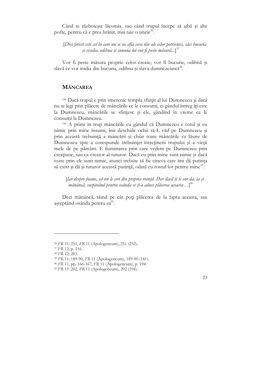Când te războieste lăcomia, sau când trupul începe să aibă și alte pofte, pentru că e prea hrănit, mai taie o uncie<sup>36</sup>.

[Deci fericit este cel în care nu se va afla ceva din ale celor potrivnici, căci bucuria și veselia, odibna și cununa lui vor fi peste măsură...]<sup>37</sup>

Vor fi peste măsura proprie celor create, vor fi bucurie, odihnă și slavă ce vor iradia din bucuria, odihna și slava dumnezeiască<sup>38</sup>.

#### **MÂNCAREA**

<sup>189</sup> Dacă trupul e prin smerenie templu sfințit al lui Dumnezeu și dacă nu te legi prin plăcere de mâncările ce le consumi, ci gândul întreg îți este la Dumnezeu, mâncările se sfințesc și ele, gândind în vreme ce le consumi la Dumnezeu.

190 A primi în trup mâncările cu gândul că Dumnezeu e totul și eu nimic prin mine însumi, îmi deschide ochii să-L văd pe Dumnezeu și prin această trebuință a mâncării și chiar toate mâncările ca lăsate de Dumnezeu spre a corespunde trebuinței întreținerii trupului și a vieții mele de pe pământ. E iluminarea prin care vedem pe Dumnezeu prin creațiune, sau ca creator al tuturor. Dacă eu prin mine sunt nimic și dacă toate prin ele sunt nimic, atunci trebuie să fie cineva care îmi dă putința să exist și dă și tuturor această putință, odată cu rostul lor pentru mine<sup>39</sup>.

[Iar despre foame, să nu le ceri din propria voință. Dar dacă ți le vor da, ia și mănâncă, suspinând pentru osânda ce ți-o aduce plăcerea aceasta...]<sup>40</sup>

Deci mănâncă, tăind pe cât poți plăcerea de la fapta aceasta, sau așteptând osânda pentru ea<sup>41</sup>.

<sup>&</sup>lt;sup>36</sup> FR 11: 251, FR 11 (Apologeticum), 251 (232).

<sup>&</sup>lt;sup>37</sup> FR 12, p. 116.

<sup>&</sup>lt;sup>38</sup> FR 12: 203.

<sup>&</sup>lt;sup>39</sup> FR 11: 189-90, FR 11 (Apologeticum), 189-90 (181).

<sup>&</sup>lt;sup>40</sup> FR 11, pp. 166-167; FR 11 (Apologeticum), p. 194.

<sup>&</sup>lt;sup>41</sup> FR 11: 202, FR 11 (Apologeticum), 202 (194).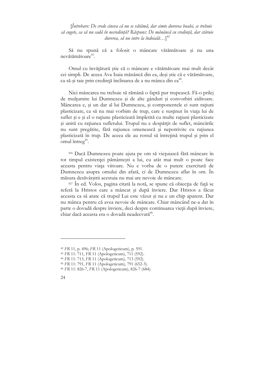[Întrebare: De crede cineva că nu se vătămă, dar simte durerea boalei, ce trebuie să cugete, ca să nu cadă în necredință? Răspuns: De mănâncă cu credință, dar stăruie durerea, să nu intre la îndoială...]<sup>42</sup>

Să nu spună că a folosit o mâncare vătămătoare și nu una nevătămătoare $43$ 

Omul cu învățătură știe că o mâncare e vătămătoare mai mult decât cei simpli. De aceea Ava Isaia mănâncă din ea, deși știe că e vătămătoare, ca să-și taie prin credință înclinarea de a nu mânca din ea<sup>44</sup>.

Nici mâncarea nu trebuie să rămână o faptă pur trupească. Fă-o prilej de multumire lui Dumnezeu și de alte gânduri și convorbiri ziditoare. Mâncarea e, și un dar al lui Dumnezeu, și componentele ei sunt rațiuni plasticizate, ca să nu mai vorbim de trup, care e susținut în viața lui de suflet și e și el o rațiune plasticizată împletită cu multe rațiuni plasticizate și unită cu rațiunea sufletului. Trupul nu e despărțit de suflet, mâncările nu sunt pregătite, fără rațiunea omenească și nepotrivite cu rațiunea plasticizată în trup. De aceea ele au rostul să întrețină trupul și prin el omul întreg<sup>45</sup>.

826 Dacă Dumnezeu poate ajuta pe om să viețuiască fără mâncare în tot timpul existenței pământești a lui, cu atât mai mult o poate face aceasta pentru viața viitoare. Nu e vorba de o putere exercitată de Dumnezeu asupra omului din afară, ci de Dumnezeu aflat în om. În măsura desăvârșirii acestuia nu mai are nevoie de mâncare.

<sup>827</sup> În ed. Volos, pagina citată la notă, se spune că obiecția de față se referă la Hristos care a mâncat și după înviere. Dar Hristos a făcut aceasta ca să arate că trupul Lui este văzut și nu e un chip aparent. Dar nu mânca pentru că avea nevoie de mâncare. Chiar mâncând ne-a dat în parte o dovadă despre înviere, deci despre continuarea vieții după înviere, chiar dacă aceasta era o dovadă neadecvată<sup>46</sup>.

<sup>&</sup>lt;sup>42</sup> FR 11, p. 496; FR 11 (Apologeticum), p. 591.

<sup>&</sup>lt;sup>43</sup> FR 11: 711, FR 11 (Apologeticum), 711 (592).

<sup>&</sup>lt;sup>44</sup> FR 11: 713, FR 11 (Apologeticum), 713 (592).

<sup>&</sup>lt;sup>45</sup> FR 11: 791, FR 11 (Apologeticum), 791 (652-3).

<sup>&</sup>lt;sup>46</sup> FR 11: 826-7, FR 11 (Apologeticum), 826-7 (684).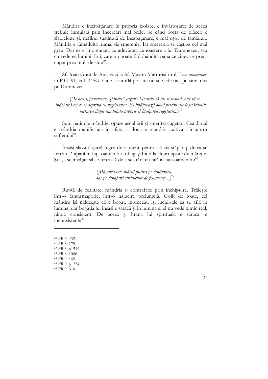Mândria e încăpățânare în propria izolare, e învârtoșare; de aceea trebuie înmuiată prin încercări mai grele, pe când pofta de plăceri e slăbiciune și, nefiind susținută de încăpățânare, e mai ușor de tămăduit. Mândria e tămăduită numai de smerenie. Iar smerenia se câștigă cel mai greu. Dar ea e împreunată cu adevărata cunoastere a lui Dumnezeu, sau cu vederea luminii Lui, care nu poate fi dobândită până ce cineva e preocupat prea mult de sine $60$ .

Sf. Ioan Gură de Aur, vezi la Sf. Maxim Mărturisitorul, Loci communes, în P.G. 91, col. 245G. Cine se umflă pe sine nu se vede nici pe sine, nici pe Dumnezeu<sup>61</sup>.

[De aceea, poruncește Sfântul Grigorie Sinaitul să nu se teamă, nici să se îndoiască cei ce se deprind cu rugăciunea. El înfățișează două pricini ale înșelăciunii: lucrarea după rânduiala proprie și înălțarea cugetării... $\int_{0}^{62}$ 

Sunt patimile mândriei opuse ascultării și smeritei cugetări. Cea dintâi e mândria manifestată în afară, a doua e mândria cultivată înăuntru sufletului<sup>63</sup>.

Insăși slava deșartă fugea de oameni, pentru că cei stăpâniți de ea se fereau să apară în fața oamenilor, obligați fiind la slujiri lipsite de măreție. Și așa se învățau să se ferească de a se arăta cu fală în fața oamenilor<sup>64</sup>.

> [Mândria este mărul putred pe dinăuntru, dar pe dinafară strălucitor de frumusețe...]<sup>65</sup>

Ruptă de realitate, mândria o contraface prin închipuire. Trăiește într-o fantasmagorie, într-o nălucire prelungită. Golit de toate, cel mândru își nălucește că e bogat; întunecat, își închipuie că se află în lumină; dar bogăția lui însăși e săracă și în lumina ei el nu vede nimic real, nimic consistent. De aceea și hrana lui spirituală e săracă, e inconsistentă<sup>66</sup>.

- 63 FR 8:1008.
- 64 FR 9: 165.
- <sup>65</sup> FR 9, p. 254.

<sup>60</sup> FR 6: 432.

<sup>&</sup>lt;sup>61</sup> FR 8: 179.

 $62$  FR 8, p. 519.

<sup>66</sup> FR 9: 610.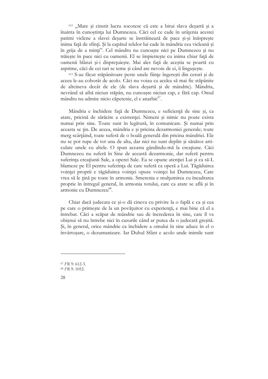<sup>612</sup> "Mare si cinstit lucru socotesc că este a birui slava desartă și a înainta în cunoștința lui Dumnezeu. Căci cel ce cade în urâțenia acestei patimi viclene a slavei desarte se înstrăinează de pace și-și înăsprește inima față de sfinți. Și la capătul relelor lui cade în mândria cea vicleană și în grija de a minți". Cel mândru nu cunoaște nici pe Dumnezeu și nu trăiește în pace nici cu oamenii. El se împietrește cu inima chiar față de oamenii blânzi și-i disprețuiește. Mai ales față de aceștia se poartă cu asprime, căci de cei tari se teme și când are nevoie de ei, îi lingușește.

<sup>613</sup> S-au făcut stăpânitoare peste unele ființe îngerești din ceruri și de aceea le-au coborât de acolo. Căci nu voiau ca acelea să mai fie stăpânite de altcineva decât de ele (de slava desartă și de mândrie). Mândria, nevrând să aibă niciun stăpân, nu cunoaște niciun cap, e fără cap. Omul mândru nu admite nicio căpetenie, el e anarhic<sup>67</sup>.

Mândria e închidere față de Dumnezeu, e suficiență de sine și, ca atare, pricină de sărăcire a existenței. Nimeni și nimic nu poate exista numai prin sine. Toate sunt în legătură, în comunicare. Și numai prin aceasta se tin. De aceea, mândria e și pricina dezarmoniei generale; toate merg scârțâind, toate suferă de o boală generală din pricina mândriei. Ele nu se pot rupe de tot una de alta, dar nici nu sunt deplin și sănătos articulate unele cu altele. O spun aceasta gândindu-mă la creațiune. Căci Dumnezeu nu suferă în Sine de această dezarmonie, dar suferă pentru suferința creațiunii Sale, a operei Sale. Ea se opune atenției Lui și ca să-L blameze pe El pentru suferința de care suferă ca operă a Lui. Tăgăduirea voinței proprii e tăgăduirea voinței opuse voinței lui Dumnezeu, Care vrea să le țină pe toate în armonie. Smerenia e mulțumirea cu încadrarea proprie în întregul general, în armonia totului, care ca atare se află și în armonie cu Dumnezeu<sup>68</sup>.

Chiar dacă judecata ce și-o dă cineva cu privire la o faplă e ca și cea pe care o primește de la un povățuitor cu experiență, e mai bine că el a întrebat. Căci a scăpat de mândrie sau de încrederea în sine, care îl va obișnui să nu întrebe nici în cazurile când ar putea da o judecată greșită. Si, în general, orice mândrie ca închidere a omului în sine aduce în el o învârtoșare, o dezumanizare. Iar Duhul Sfânt e acolo unde inimile sunt

<sup>67</sup> FR 9: 612-3.

<sup>68</sup> FR 9: 1052.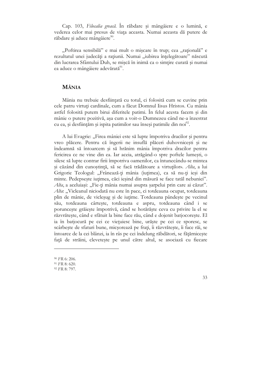Cap. 103, Filocalia greacă. În răbdare și mângâiere e o lumină, e vederea celor mai presus de viata aceasta. Numai aceasta dă putere de răbdare și aduce mângâiere<sup>90</sup>.

"Poftirea sensibilă" e mai mult o mișcare în trup; cea "rațională" e rezultatul unei judecăți a rațiunii. Numai "iubirea înțelegătoare" născută din lucrarea Sfântului Duh, se mișcă în inimă ca o simțire curată și numai ea aduce o mângâiere adevărată<sup>91</sup>.

#### **MÂNIA**

Mânia nu trebuie desființată cu totul, ci folosită cum se cuvine prin cele patru virtuți cardinale, cum a făcut Domnul Iisus Hristos. Cu mânia astfel folosită putem birui diferitele patimi. În felul acesta facem și din mânie o putere pozitivă, așa cum a voit-o Dumnezeu când ne-a înzestrat cu ea, și desființăm și ispita patimilor sau înseși patimile din noi<sup>92</sup>.

A lui Evagrie: "Firea mâniei este să lupte împotriva dracilor și pentru vreo plăcere. Pentru că îngerii ne insuflă plăceri duhovnicești și ne îndeamnă să întoarcem și să hrănim mânia împotriva dracilor pentru fericirea ce ne vine din ea. Iar aceia, atrăgând-o spre poftele lumești, o silesc să lupte contrar firii împotriva oamenilor, ca întunecându-se mintea și căzând din cunoștință, să se facă trădătoare a virtuților». Alta, a lui Grigorie Teologul: "Frânează-ți mânia (iuțimea), ca să nu-ți ieși din minte. Pedepsește iuțimea, căci ieșind din măsură se face tatăl nebuniei". Alta, a aceluiași: "Fie-ți mânia numai asupra șarpelui prin care ai căzut". Alta: "Vicleanul niciodată nu este în pace, ci totdeauna ocupat, totdeauna plin de mânie, de vicleșug și de iuțime. Totdeauna pândește pe vecinul său, totdeauna cârtește, totdeauna e aspru, totdeauna când i se poruncește grăiește împotrivă, când se hotărăște ceva cu privire la el se răzvrătește, când e sfătuit la bine face rău, când e dojenit batjocorește. El ia în batjocură pe cei ce viețuiesc bine, urăște pe cei ce sporesc, se scârbește de sfaturi bune, micșorează pe frați, îi răzvrătește, îi face răi, se întoarce de la cei blânzi, ia în râs pe cei îndelung răbdători, se fățărnicește față de străini, clevetește pe unul către altul, se asociază cu fiecare

<sup>&</sup>lt;sup>90</sup> FR 6: 206.

<sup>&</sup>lt;sup>91</sup> FR 8: 620.

<sup>92</sup> FR 8: 797.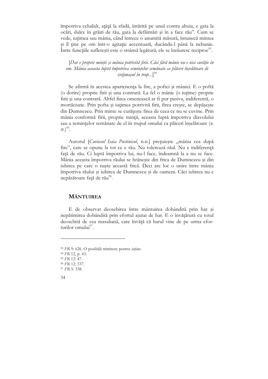împotriva celuilalt, ațâță la sfadă, întărită pe unul contra altuia, e gata la ocări, dulce în grăiri de rău, gata la defăimări și în a face rău". Cum se vede, iuțimea sau mânia, când întrece o anumită măsură, întunecă mintea și îl ține pe om într-o agitație accentuată, ducându-l până la nebunie. Între funcțiile sufletești este o strânsă legătură, ele se înrâuresc reciproc<sup>93</sup>.

[Dar e proprie minții și mânia potrivită firii. Căci fără mânie nu e nici curăție în om. Mânia aceasta luptă împotriva semințelor semănate ca plăceri înșelătoare de vrăjmașul în trup...]<sup>94</sup>

Se afirmă în acestea apartenența la fire, a poftei și mâniei. E o poftă (o dorire) proprie firii și una contrară. La fel o mânie (o iuțime) proprie firii și una contrară. Altfel firea omenească ar fi pur pasiva, indiferentă, o mortăciune. Prin pofta și iuțimea potrivită firii, firea crește, se depășește din Dumnezeu. Prin minte se curățește firea de ceea ce nu se cuvine. Prin mânia conformă firii, proprie minții, aceasta luptă împotriva diavolului sau a semințelor semănate de el în trupul omului ca plăceri înșelătoare (n.  $tr.)^{95}$ .

Autorul [Cuviosul Isaia Pustinicul, n.n.] prețuiește "mânia cea după fire", care se opune la tot ce e rău. Nu tolerează răul. Nu e indiferență față de rău. Ci luptă împotriva lui, nu-l face, îndeamnă la a nu se face. Mânia aceasta împotriva răului se hrănește din frica de Dumnezeu și din iubirea pe care o naște această frică. Deci are loc o unire între mânia împotriva răului și iubirea de Dumnezeu și de oameni. Căci iubirea nu e nepăsătoare față de rău<sup>96</sup>.

#### **MÂNTUIREA**

E de observat deosebirea între mântuirea dobândită prin har și nepătimirea dobândită prin efortul ajutat de har. E o învățătură cu totul deosebită de cea masaliană, care învăță că harul vine de pe urma eforturilor omului $^{97}$ .

<sup>93</sup> FR 9: 626. O posibilă trimitere pentru iuțime.

 $94$  FR 12, p. 43.

<sup>95</sup> FR 12: 47.

<sup>&</sup>lt;sup>96</sup> FR 12: 337.

<sup>97</sup> FR 5: 338.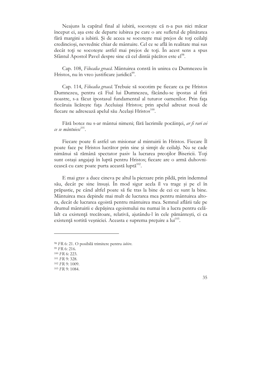Neajuns la capătul final al iubirii, socotește că n-a pus nici măcar început ei, așa este de departe iubirea pe care o are sufletul de plinătatea fără margini a iubirii. Și de aceea se socotește mai prejos de toți ceilalți credinciosi, nevrednic chiar de mântuire. Cel ce se află în realitate mai sus decât toți se socotește astfel mai prejos de toți. În acest sens a spus Sfântul Apostol Pavel despre sine că cel dintâi păcătos este el<sup>98</sup>.

Cap. 108, Filocalia greacă. Mântuirea constă în unirea cu Dumnezeu în Hristos, nu în vreo justificare juridică<sup>99</sup>.

Cap. 114, Filocalia greacă. Trebuie să socotim pe fiecare ca pe Hristos Dumnezeu, pentru că Fiul lui Dumnezeu, făcându-se ipostas al firii noastre, s-a făcut ipostasul fundamental al tuturor oamenilor. Prin fața fiecăruia licărește fața Aceluiași Hristos; prin apelul adresat nouă de fiecare ne adresează apelul său Același Hristos<sup>100</sup>.

Fără botez nu s-ar mântui nimeni; fără lacrimile pocăinței, ar fi rari cei ce se mântuiesc<sup>101</sup>.

Fiecare poate fi astfel un misionar al mintuirii în Hristos. Fiecare Îl poate face pe Hristos lucrător prin sine și simțit de ceilalți. Nu se cade nimănui să rămână spectator pasiv la lucrarea preoților Bisericii. Toți sunt ostași angajați în luptă pentru Hristos; fiecare are o armă duhovnicească cu care poate purta această luptă<sup>102</sup>.

E mai grav a duce cineva pe altul la pierzare prin pildă, prin îndemnul său, decât pe sine însuși. În mod sigur acela îl va trage și pe el în prăpastie, pe când altfel poate să fie tras la bine de cei ce sunt la bine. Mântuirea mea depinde mai mult de lucrarea mea pentru mântuirea altora, decât de lucrarea egoistă pentru mântuirea mea. Semnul aflării tale pe drumul mântuirii e depășirea egoismului nu numai în a lucra pentru celălalt ca existență trecătoare, relativă, ajutându-l în cele pământești, ci ca existență sortită veșniciei. Aceasta e suprema prețuire a lui<sup>103</sup>.

<sup>&</sup>lt;sup>98</sup> FR 6: 21. O posibilă trimitere pentru iubire.

<sup>99</sup> FR 6: 216.

<sup>&</sup>lt;sup>100</sup> FR 6: 223.

<sup>&</sup>lt;sup>101</sup> FR 9: 328.

<sup>102</sup> FR 9: 1009.

<sup>103</sup> FR 9: 1084.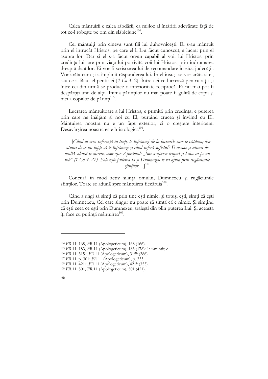Calea mântuirii e calea răbdării, ca mijloc al întăririi adevărate fată de tot ce-l robește pe om din slăbiciune<sup>104</sup>.

Cei mântuiți prin cineva sunt fiii lui duhovnicești. Ei s-au mântuit prin el întrucât Hristos, pe care el li L-a făcut cunoscut, a lucrat prin el asupra lor. Dar și el s-a făcut organ capabil al voii lui Hristos: prin credința lui tare prin viața lui potrivită voii lui Hristos, prin îndrumarea dreaptă dată lor. Ei vor fi scrisoarea lui de recomandare în ziua judecății. Vor arăta cum și-a împlinit răspunderea lui. În el însuși se vor arăta și ei, sau ce a făcut el pentu ei  $(2 \text{ } Co 3, 2)$ . Între cei ce lucrează pentru alții și între cei din urmă se produce o interioritate reciprocă. Ei nu mai pot fi despărțiți unii de alții. Inima părinților nu mai poate fi golită de copii și nici a copiilor de părinți<sup>105</sup>.

Lucrarea mântuitoare a lui Hristos, e primită prin credință, e puterea prin care ne înălțăm și noi cu El, purtând crucea și înviind cu El. Mântuirea noastră nu e un fapt exterior, ci o creștere interioară. Desăvârșirea noastră este hristologică<sup>106</sup>.

[Când ai vreo suferință în trup, te înfrânezi de la lucrurile care te vătăma; dar atunci de ce nu lupți să te înfrânezi și când suferă sufletul? E nevoie și atunci de multă silință și durere, cum zice Apostolul: "Îmi asupresc trupul și-l duc ca pe un rob" (1 Co 9, 27). Folosește puterea ta și Dumnezeu te va ajuta prin rugăciunile sfintilor... $]^{107}$ 

Concură în mod activ silința omului, Dumnezeu și rugăciunile sfinților. Toate se adună spre mântuirea fiecăruia<sup>108</sup>.

Când ajungi să simți că prin tine ești nimic, și totuși ești, simți că ești prin Dumnezeu, Cel care singur nu poate să simtă că e nimic. Și simțind că esti ceea ce esti prin Dumnezeu, trăiești din plin puterea Lui. Și aceasta îți face cu putință mântuirea<sup>109</sup>.

<sup>&</sup>lt;sup>104</sup> FR 11: 168, FR 11 (Apologeticum), 168 (166).

<sup>&</sup>lt;sup>105</sup> FR 11: 183, FR 11 (Apologeticum), 183 (178): 1: <mîntiți>.

<sup>&</sup>lt;sup>106</sup> FR 11: 315<sup>b</sup>, FR 11 (Apologeticum), 315<sup>b</sup> (286).

<sup>&</sup>lt;sup>107</sup> FR 11, p. 301; FR 11 (Apologeticum), p. 355.

<sup>&</sup>lt;sup>108</sup> FR 11: 421<sup>b</sup>, FR 11 (Apologeticum), 421<sup>b</sup> (355).

<sup>&</sup>lt;sup>109</sup> FR 11: 501, FR 11 (Apologeticum), 501 (421).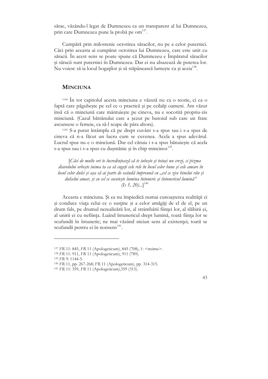sărac, văzându-l legat de Dumnezeu ca un transparent al lui Dumnezeu, prin care Dumnezeu pune la probă pe om<sup>137</sup>.

Cumpără prin milostenie ocrotirea săracilor, nu pe a celor puternici. Căci prin aceasta ai cumpărat ocrotirea lui Dumnezeu, care este unit cu săracii. În acest sens se poate spune că Dumnezeu e Împăratul săracilor și săracii sunt puternici în Dumnezeu. Dar ei nu abuzează de puterea lor. Nu voiesc să ia locul bogaților și să stăpânească lumește ca și aceia<sup>138</sup>.

#### **MINCIUNA**

1144 În tot capitolul acesta minciuna e văzută nu ca o teorie, ci ca o faptă care păgubește pe cel ce o practică și pe ceilalți oameni. Am văzut însă că o minciună care mântuiește pe cineva, nu e socotită propriu-zis minciună. (Cazul bătrânului care a șezut pe butoiul sub care un frate ascunsese o femeie, ca să-l scape de pâra altora).

<sup>1145</sup> S-a putut întâmpla că pe drept cuvânt s-a spus sau i s-a spus de cineva că n-a făcut un lucru cum se cuvenea. Acela a spus adevărul. Lucrul spus nu e o minciună. Dar cel căruia i s-a spus bănuiește că acela s-a spus sau i s-a spus cu dușmănie și în chip mincinos<sup>139</sup>.

[Căci de multe ori te încredințează că te iubește și totuși nu crezi, ci pizma diavolului orbește inima ta ca să cugeți cele rele în locul celor bune și cele amare în locul celor dulci și așa să ai parte de osândă împreună cu "cel ce zice binelui rău și dulcelui amar, și cu cel ce socotește lumina întuneric și întunericul lumină"  $(Is 5, 20)$ ...]<sup>140</sup>

Aceasta e minciuna. Și ea nu împiedică numai cunoașterea realității ci si conduce viata celui ce o sustine și a celor amăgiți de el de el, pe un drum fals, pe drumul nerealizării lor, al strâmbării ființei lor, al slăbirii ei, al unirii ei cu neființa. Luând întunericul drept lumină, toată ființa lor se scufundă în întuneric; ne mai văzând niciun sens al existenței; toată se scufundă pentru ei în nonsens<sup>141</sup>.

<sup>&</sup>lt;sup>137</sup> FR 11: 845, FR 11 (Apologeticum), 845 (708), 1: <treime>.

<sup>138</sup> FR 11: 911, FR 11 (Apologeticum), 911 (789).

<sup>139</sup> FR 9: 1144-5.

<sup>&</sup>lt;sup>140</sup> FR 11, pp. 267-268; FR 11 (Apologeticum), pp. 314-315.

<sup>&</sup>lt;sup>141</sup> FR 11: 359, FR 11 (Apologeticum), 359 (315).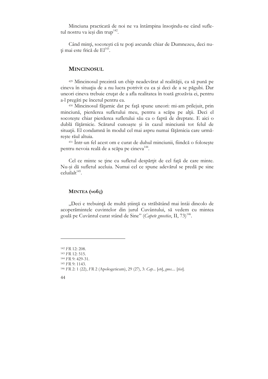Minciuna practicată de noi ne va întâmpina însoțindu-ne când sufletul nostru va ieși din trup<sup>142</sup>.

Când minți, socotești că te poți ascunde chiar de Dumnezeu, deci nuti mai este frică de  $El<sup>143</sup>$ .

#### **MINCINOSUL**

429 Mincinosul prezintă un chip neadevărat al realității, ca să pună pe cineva în situația de a nu lucra potrivit cu ea și deci de a se păgubi. Dar uneori cineva trebuie crutat de a afla realitatea în toată grozăvia ei, pentru a-l pregăti pe încetul pentru ea.

430 Mincinosul fățarnic dat pe față spune uneori: mi-am prilejuit, prin minciună, pierderea sufletului meu, pentru a scăpa pe alții. Deci el socotește chiar pierderea sufletului său ca o faptă de dreptate. E aici o dublă fățărnicie. Scărarul cunoaște și în cazul minciunii tot felul de situații. El condamnă în modul cel mai aspru numai fățărnicia care urmăreste răul altuia.

<sup>431</sup> Într-un fel acest om e curat de duhul minciunii, fiindcă o folosește pentru nevoia reală de a scăpa pe cineva<sup>144</sup>.

Cel ce minte se tine cu sufletul despărțit de cel față de care minte. Nu-și dă sufletul aceluia. Numai cel ce spune adevărul se predă pe sine  $\text{cell}$ ilalt $^{145}$ 

#### MINTEA  $(vo\tilde{v}\zeta)$

"Deci e trebuință de multă știință ca străbătând mai întâi dincolo de acoperămintele cuvintelor din jurul Cuvântului, să vedem cu mintea goală pe Cuvântul curat stând de Sine" (Capete gnostice, II, 73)<sup>146</sup>.

<sup>&</sup>lt;sup>142</sup> FR 12: 208.

<sup>143</sup> FR 12: 515.

<sup>144</sup> FR 9: 429-31.

<sup>145</sup> FR 9: 1143.

<sup>&</sup>lt;sup>146</sup> FR 2: 1 (22), FR 2 (Apologeticum), 29 (27), 3: Cap... [ete], gnos.... [tice].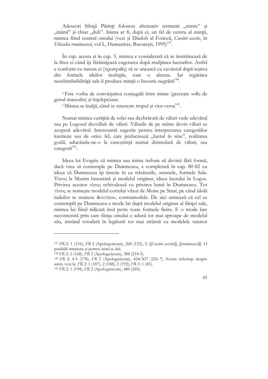Adeseori Sfintii Părinti folosesc alternativ termenii "minte" si "inimă" și chiar "duh". Inima ar fi, după ei, un fel de centru al minții, mintea fiind centrul omului (vezi și Diadoh al Foticeii, Cuvânt ascetic, în Filocalia românească, vol I., Humanitas, București, 1999)<sup>147</sup>.

În cap. acesta și în cap. 5, mintea e considerată că se înstrăinează de la firea ei când își fărâmițează cugetarea după mulțimea lucrurilor. Astfel e conform cu natura ei  $(\pi\rho o\sigma\varphi\omega\tilde{\omega})$  să se unească cu cuvântul după ieșirea ideilor multiple, care din formele  $\Omega$ alterau. Iar regăsirea neschimbabilității sale îi produce minții o bucurie negrăită<sup>148</sup>.

<sup>4</sup> Este vorba de convietuirea conjugală între minte (greceste vo $\tilde{v}$ c de genul masculin) și înțelepciune.

<sup>5</sup>Mintea se înalță, când se smerește trupul și vice-versa<sup>149</sup>.

Numai mintea curățită de solzi sau dezbrăcată de văluri vede adevărul sau pe Logosul dezvăluit de văluri. Vălurile de pe minte devin văluri ce acoperă adevărul. Interesantă sugestie pentru interpretarea categoriilor kantiene sau de orice fel, care prelucrează "lucrul în sine", realitatea goală, aducându-ne-o la cunoștință numai disimulată de văluri, sau categorii $^{150}$ .

Ideea lui Evagrie că mintea sau inima trebuie să devină fără formă, dacă vrea să contemple pe Dumnezeu, e completată în cap. 80-82 cu ideea că Dumnezeu își înscrie în ea trăsăturile, semnele, formele Sale. Tύπος la Maxim înseamnă și modelul originar, ideea lucrului în Logos. Privirea acestor τύπος echivalează cu privirea lumii în Dumnezeu. Tot τύπος se numește modelul cortului văzut de Moise pe Sinai, pe când idolii iudeilor se numesc άντιτύποι, contramodele. De aici urmează că cel ce contemplă pe Dumnezeu e mode lat după modelul originar al ființei sale, mintea lui fiind ridicată însă peste toate formele finite. E o mode lare necontenită prin care ființa omului e adusă tot mai aproape de modelul său, intrând totodată în legătură tot mai strânsă cu modelele tuturor

<sup>147</sup> FR 2: 1 (116), FR 2 (Apologeticum), 268 (152), 3: [[Cuvânt asceetic]], [[românească]]. O posibilă trimitere și pentru inimă și dub.

<sup>&</sup>lt;sup>148</sup> FR 2: 2 (168), FR 2 (Apologeticum), 388 (214-5).

<sup>&</sup>lt;sup>149</sup> FR 2: 4-5 (178), FR 2 (Apologeticum), 424/427 (226-7). Scurte referințe despre minte, vezi la: FR 2: 1 (187), 2 (188), 2 (192); FR 3: 1 (45).

<sup>&</sup>lt;sup>150</sup> FR 2: 1 (194), FR 2 (Apologeticum), 480 (245).